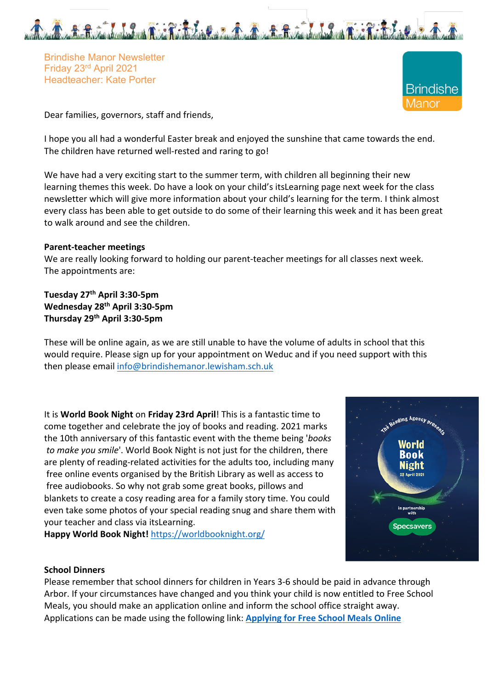

Brindishe Manor Newsletter Friday 23rd April 2021 Headteacher: Kate Porter



Dear families, governors, staff and friends,

I hope you all had a wonderful Easter break and enjoyed the sunshine that came towards the end. The children have returned well-rested and raring to go!

We have had a very exciting start to the summer term, with children all beginning their new learning themes this week. Do have a look on your child's itsLearning page next week for the class newsletter which will give more information about your child's learning for the term. I think almost every class has been able to get outside to do some of their learning this week and it has been great to walk around and see the children.

#### **Parent-teacher meetings**

We are really looking forward to holding our parent-teacher meetings for all classes next week. The appointments are:

# **Tuesday 27th April 3:30-5pm Wednesday 28th April 3:30-5pm Thursday 29th April 3:30-5pm**

These will be online again, as we are still unable to have the volume of adults in school that this would require. Please sign up for your appointment on Weduc and if you need support with this then please email info@brindishemanor.lewisham.sch.uk

It is **World Book Night** on **Friday 23rd April**! This is a fantastic time to come together and celebrate the joy of books and reading. 2021 marks the 10th anniversary of this fantastic event with the theme being '*books to make you smile*'. World Book Night is not just for the children, there are plenty of reading-related activities for the adults too, including many free online events organised by the British Library as well as access to free audiobooks. So why not grab some great books, pillows and blankets to create a cosy reading area for a family story time. You could even take some photos of your special reading snug and share them with your teacher and class via itsLearning.

Happy World Book Night! https://worldbooknight.org/



#### **School Dinners**

Please remember that school dinners for children in Years 3-6 should be paid in advance through Arbor. If your circumstances have changed and you think your child is now entitled to Free School Meals, you should make an application online and inform the school office straight away. Applications can be made using the following link: **Applying for Free School Meals Online**